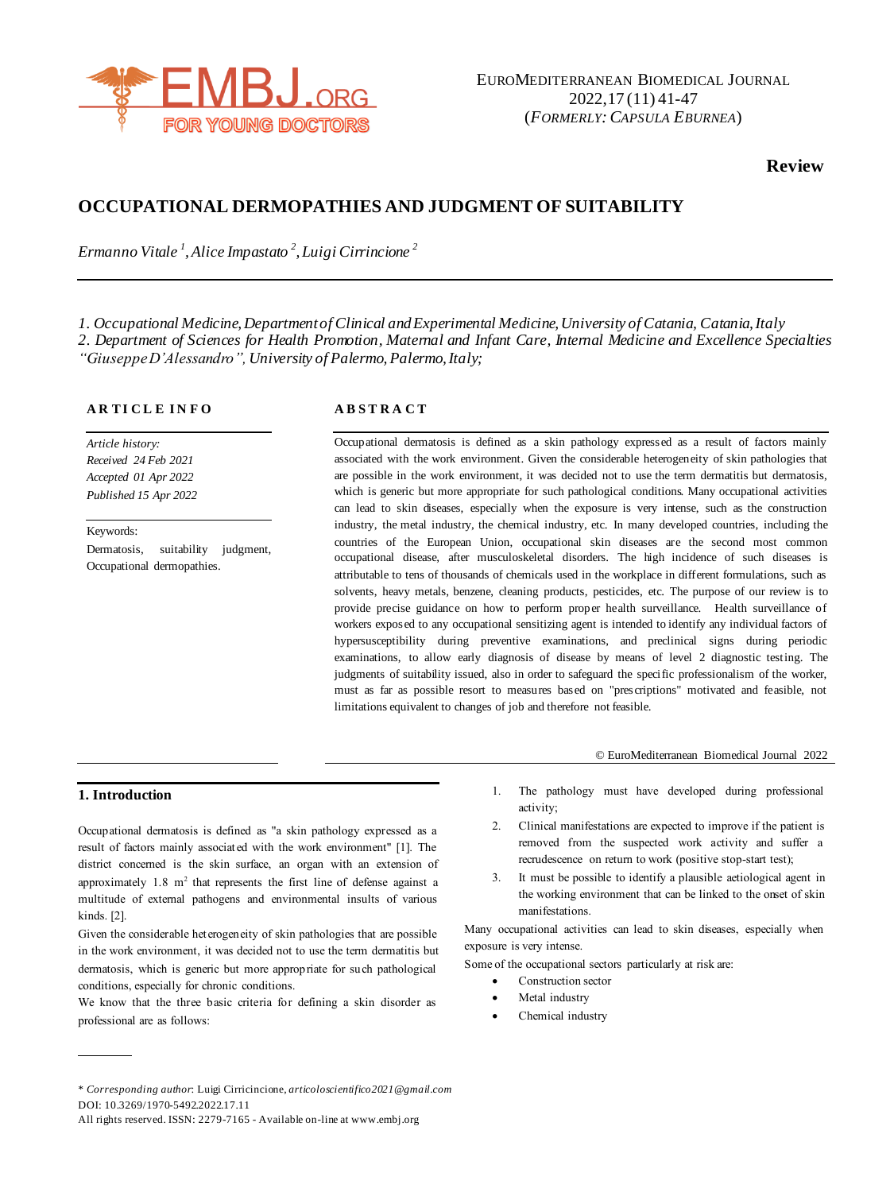

**Review**

# **OCCUPATIONAL DERMOPATHIES AND JUDGMENT OF SUITABILITY**

*Ermanno Vitale <sup>1</sup> , Alice Impastato <sup>2</sup> , Luigi Cirrincione <sup>2</sup>*

*1. Occupational Medicine, Department of Clinical and Experimental Medicine, University of Catania, Catania, Italy 2. Department of Sciences for Health Promotion, Maternal and Infant Care, Internal Medicine and Excellence Specialties* "Giuseppe D'Alessandro", University of Palermo, Palermo, Italy;

# **A R TI C L E I N F O**

*Article history: Received 24 Feb 2021 Accepted 01 Apr 2022 Published 15 Apr 2022*

Keywords: Dermatosis, suitability judgment, Occupational dermopathies.

# **A B S T R A C T**

Occupational dermatosis is defined as a skin pathology expressed as a result of factors mainly associated with the work environment. Given the considerable heterogeneity of skin pathologies that are possible in the work environment, it was decided not to use the term dermatitis but dermatosis, which is generic but more appropriate for such pathological conditions. Many occupational activities can lead to skin diseases, especially when the exposure is very intense, such as the construction industry, the metal industry, the chemical industry, etc. In many developed countries, including the countries of the European Union, occupational skin diseases are the second most common occupational disease, after musculoskeletal disorders. The high incidence of such diseases is attributable to tens of thousands of chemicals used in the workplace in different formulations, such as solvents, heavy metals, benzene, cleaning products, pesticides, etc. The purpose of our review is to provide precise guidance on how to perform proper health surveillance. Health surveillance of workers exposed to any occupational sensitizing agent is intended to identify any individual factors of hypersusceptibility during preventive examinations, and preclinical signs during periodic examinations, to allow early diagnosis of disease by means of level 2 diagnostic testing. The judgments of suitability issued, also in order to safeguard the specific professionalism of the worker, must as far as possible resort to measures based on "prescriptions" motivated and feasible, not limitations equivalent to changes of job and therefore not feasible.

#### © EuroMediterranean Biomedical Journal 2022

# **1. Introduction**

Occupational dermatosis is defined as "a skin pathology expressed as a result of factors mainly associated with the work environment" [1]. The district concerned is the skin surface, an organ with an extension of approximately  $1.8 \text{ m}^2$  that represents the first line of defense against a multitude of external pathogens and environmental insults of various kinds. [2].

Given the considerable heterogeneity of skin pathologies that are possible in the work environment, it was decided not to use the term dermatitis but dermatosis, which is generic but more appropriate for such pathological conditions, especially for chronic conditions.

We know that the three basic criteria for defining a skin disorder as professional are as follows:

- 2. Clinical manifestations are expected to improve if the patient is removed from the suspected work activity and suffer a recrudescence on return to work (positive stop-start test);
- 3. It must be possible to identify a plausible aetiological agent in the working environment that can be linked to the onset of skin manifestations.

Many occupational activities can lead to skin diseases, especially when exposure is very intense.

Some of the occupational sectors particularly at risk are:

- Construction sector
- Metal industry
- Chemical industry

<sup>1.</sup> The pathology must have developed during professional activity;

<sup>\*</sup> *Corresponding author*: Luigi Cirricincione, *articoloscientifico2021@gmail.com* DOI: 10.3269/1970-5492.2022.17.11

All rights reserved. ISSN: 2279-7165 - Available on-line at www.embj.org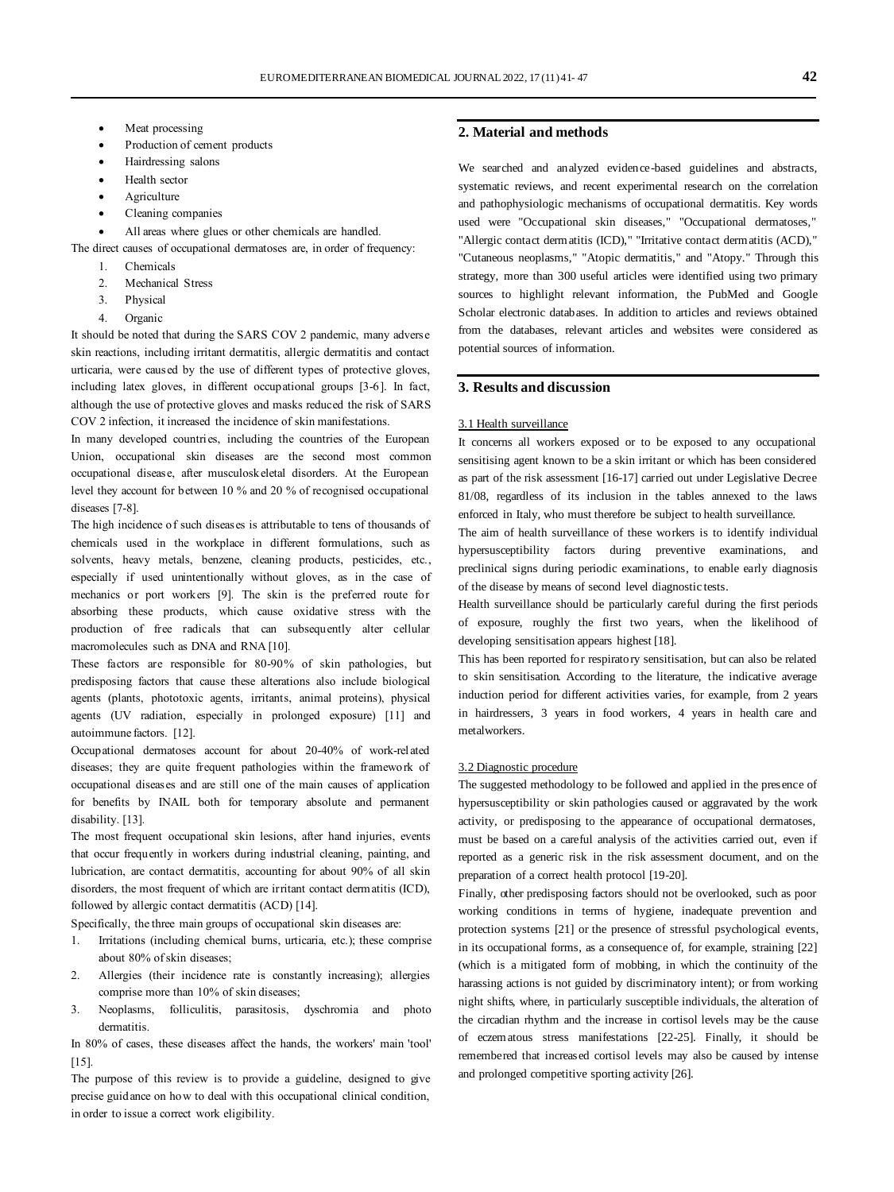- Meat processing
- Production of cement products
- Hairdressing salons
- Health sector
- **Agriculture**
- Cleaning companies
- All areas where glues or other chemicals are handled.
- The direct causes of occupational dermatoses are, in order of frequency:
	- 1. Chemicals
	- 2. Mechanical Stress
	- 3. Physical
	- 4. Organic

It should be noted that during the SARS COV 2 pandemic, many adverse skin reactions, including irritant dermatitis, allergic dermatitis and contact urticaria, were caused by the use of different types of protective gloves, including latex gloves, in different occupational groups [3-6]. In fact, although the use of protective gloves and masks reduced the risk of SARS COV 2 infection, it increased the incidence of skin manifestations.

In many developed countries, including the countries of the European Union, occupational skin diseases are the second most common occupational disease, after musculoskeletal disorders. At the European level they account for between 10 % and 20 % of recognised occupational diseases [7-8].

The high incidence of such diseases is attributable to tens of thousands of chemicals used in the workplace in different formulations, such as solvents, heavy metals, benzene, cleaning products, pesticides, etc., especially if used unintentionally without gloves, as in the case of mechanics or port workers [9]. The skin is the preferred route for absorbing these products, which cause oxidative stress with the production of free radicals that can subsequently alter cellular macromolecules such as DNA and RNA [10].

These factors are responsible for 80-90% of skin pathologies, but predisposing factors that cause these alterations also include biological agents (plants, phototoxic agents, irritants, animal proteins), physical agents (UV radiation, especially in prolonged exposure) [11] and autoimmune factors. [12].

Occupational dermatoses account for about 20-40% of work-related diseases; they are quite frequent pathologies within the framework of occupational diseases and are still one of the main causes of application for benefits by INAIL both for temporary absolute and permanent disability. [13].

The most frequent occupational skin lesions, after hand injuries, events that occur frequently in workers during industrial cleaning, painting, and lubrication, are contact dermatitis, accounting for about 90% of all skin disorders, the most frequent of which are irritant contact dermatitis (ICD), followed by allergic contact dermatitis (ACD) [14].

Specifically, the three main groups of occupational skin diseases are:

- 1. Irritations (including chemical burns, urticaria, etc.); these comprise about 80% of skin diseases;
- 2. Allergies (their incidence rate is constantly increasing); allergies comprise more than 10% of skin diseases;
- 3. Neoplasms, folliculitis, parasitosis, dyschromia and photo dermatitis.

In 80% of cases, these diseases affect the hands, the workers' main 'tool' [15].

The purpose of this review is to provide a guideline, designed to give precise guidance on how to deal with this occupational clinical condition, in order to issue a correct work eligibility.

### **2. Material and methods**

We searched and analyzed evidence-based guidelines and abstracts, systematic reviews, and recent experimental research on the correlation and pathophysiologic mechanisms of occupational dermatitis. Key words used were "Occupational skin diseases," "Occupational dermatoses," "Allergic contact dermatitis (ICD)," "Irritative contact dermatitis (ACD)," "Cutaneous neoplasms," "Atopic dermatitis," and "Atopy." Through this strategy, more than 300 useful articles were identified using two primary sources to highlight relevant information, the PubMed and Google Scholar electronic databases. In addition to articles and reviews obtained from the databases, relevant articles and websites were considered as potential sources of information.

# **3. Results and discussion**

#### 3.1 Health surveillance

It concerns all workers exposed or to be exposed to any occupational sensitising agent known to be a skin irritant or which has been considered as part of the risk assessment [16-17] carried out under Legislative Decree 81/08, regardless of its inclusion in the tables annexed to the laws enforced in Italy, who must therefore be subject to health surveillance.

The aim of health surveillance of these workers is to identify individual hypersusceptibility factors during preventive examinations, and preclinical signs during periodic examinations, to enable early diagnosis of the disease by means of second level diagnostic tests.

Health surveillance should be particularly careful during the first periods of exposure, roughly the first two years, when the likelihood of developing sensitisation appears highest [18].

This has been reported for respiratory sensitisation, but can also be related to skin sensitisation. According to the literature, the indicative average induction period for different activities varies, for example, from 2 years in hairdressers, 3 years in food workers, 4 years in health care and metalworkers.

#### 3.2 Diagnostic procedure

The suggested methodology to be followed and applied in the presence of hypersusceptibility or skin pathologies caused or aggravated by the work activity, or predisposing to the appearance of occupational dermatoses, must be based on a careful analysis of the activities carried out, even if reported as a generic risk in the risk assessment document, and on the preparation of a correct health protocol [19-20].

Finally, other predisposing factors should not be overlooked, such as poor working conditions in terms of hygiene, inadequate prevention and protection systems [21] or the presence of stressful psychological events, in its occupational forms, as a consequence of, for example, straining [22] (which is a mitigated form of mobbing, in which the continuity of the harassing actions is not guided by discriminatory intent); or from working night shifts, where, in particularly susceptible individuals, the alteration of the circadian rhythm and the increase in cortisol levels may be the cause of eczematous stress manifestations [22-25]. Finally, it should be remembered that increased cortisol levels may also be caused by intense and prolonged competitive sporting activity [26].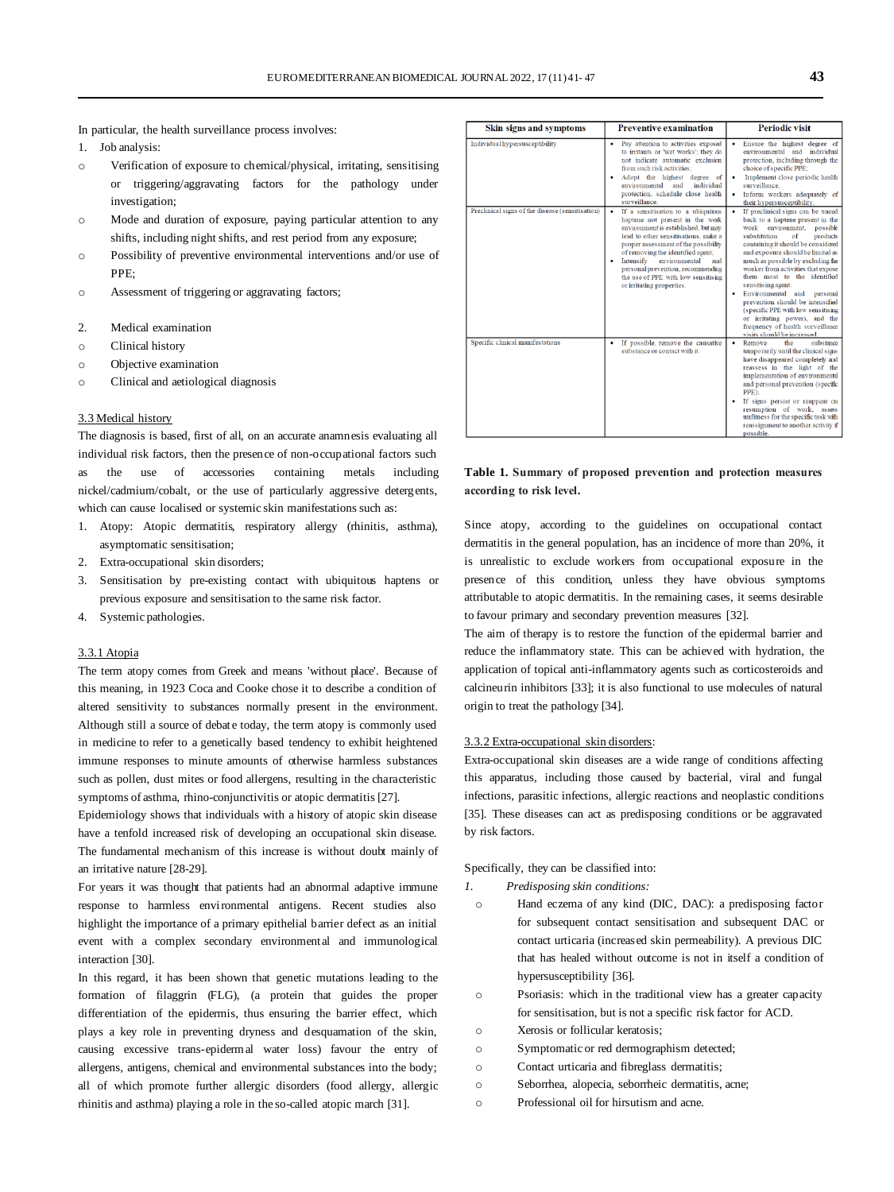In particular, the health surveillance process involves:

- 1. Job analysis:
- o Verification of exposure to chemical/physical, irritating, sensitising or triggering/aggravating factors for the pathology under investigation;
- o Mode and duration of exposure, paying particular attention to any shifts, including night shifts, and rest period from any exposure;
- o Possibility of preventive environmental interventions and/or use of PPE;
- o Assessment of triggering or aggravating factors;
- 2. Medical examination
- o Clinical history
- o Objective examination
- o Clinical and aetiological diagnosis

#### 3.3 Medical history

The diagnosis is based, first of all, on an accurate anamnesis evaluating all individual risk factors, then the presence of non-occupational factors such as the use of accessories containing metals including nickel/cadmium/cobalt, or the use of particularly aggressive detergents, which can cause localised or systemic skin manifestations such as:

- 1. Atopy: Atopic dermatitis, respiratory allergy (rhinitis, asthma), asymptomatic sensitisation;
- 2. Extra-occupational skin disorders;
- 3. Sensitisation by pre-existing contact with ubiquitous haptens or previous exposure and sensitisation to the same risk factor.
- 4. Systemic pathologies.

#### 3.3.1 Atopia

The term atopy comes from Greek and means 'without place'. Because of this meaning, in 1923 Coca and Cooke chose it to describe a condition of altered sensitivity to substances normally present in the environment. Although still a source of debate today, the term atopy is commonly used in medicine to refer to a genetically based tendency to exhibit heightened immune responses to minute amounts of otherwise harmless substances such as pollen, dust mites or food allergens, resulting in the characteristic symptoms of asthma, rhino-conjunctivitis or atopic dermatitis [27].

Epidemiology shows that individuals with a history of atopic skin disease have a tenfold increased risk of developing an occupational skin disease. The fundamental mechanism of this increase is without doubt mainly of an irritative nature [28-29].

For years it was thought that patients had an abnormal adaptive immune response to harmless environmental antigens. Recent studies also highlight the importance of a primary epithelial barrier defect as an initial event with a complex secondary environmental and immunological interaction [30].

In this regard, it has been shown that genetic mutations leading to the formation of filaggrin (FLG), (a protein that guides the proper differentiation of the epidermis, thus ensuring the barrier effect, which plays a key role in preventing dryness and desquamation of the skin, causing excessive trans-epidermal water loss) favour the entry of allergens, antigens, chemical and environmental substances into the body; all of which promote further allergic disorders (food allergy, allergic rhinitis and asthma) playing a role in the so-called atopic march [31].

| Skin signs and symptoms                          | <b>Preventive examination</b>                                                                                                                                                                                                                                                                                                                                                                  | <b>Periodic visit</b>                                                                                                                                                                                                                                                                                                                                                                                                                                                                                                                                                                    |
|--------------------------------------------------|------------------------------------------------------------------------------------------------------------------------------------------------------------------------------------------------------------------------------------------------------------------------------------------------------------------------------------------------------------------------------------------------|------------------------------------------------------------------------------------------------------------------------------------------------------------------------------------------------------------------------------------------------------------------------------------------------------------------------------------------------------------------------------------------------------------------------------------------------------------------------------------------------------------------------------------------------------------------------------------------|
| Individual hypersusceptibility                   | Pay attention to activities exposed<br>٠<br>to irritants or 'wet works'; they do<br>not indicate automatic exclusion<br>from such risk activities:<br>Adopt the highest degree of<br>٠<br>environmental and<br>individual<br>protection, schedule close health<br>surveillance.                                                                                                                | Ensure the highest degree of<br>environmental and<br>individual<br>protection, including through the<br>choice of specific PPE;<br>Implement close periodic health<br>٠<br>surveillance.<br>Inform workers adequately of<br>their hypersusceptibility.                                                                                                                                                                                                                                                                                                                                   |
| Preclinical signs of the disease (sensitisation) | $\bullet$<br>If a sensitisation to a ubiquitous<br>haptene not present in the work<br>environment is established, but may<br>lead to other sensitisations, make a<br>proper assessment of the possibility<br>of removing the identified agent;<br>Intensify environmental<br>٠<br>and<br>personal prevention, recommending<br>the use of PPE with low sensitising<br>or irritating properties. | $\bullet$<br>If preclinical signs can be traced<br>back to a haptene present in the<br>environment.<br>work<br>possible<br>substitution<br>of<br>products<br>containing it should be considered<br>and exposure should be limited as<br>much as possible by excluding the<br>worker from activities that expose<br>them most to the identified<br>sensitising agent.<br>Environmental and<br>personal<br>٠<br>prevention should be intensified<br>(specific PPE with low sensitising<br>or irritating power), and the<br>frequency of health surveillance<br>visits should be increased. |
| Specific clinical manifestations                 | If possible, remove the causative<br>٠<br>substance or contact with it.                                                                                                                                                                                                                                                                                                                        | substance<br>Remove<br>the<br>$\bullet$<br>temporarily until the clinical signs<br>have disappeared completely and<br>reassess in the light of the<br>implementation of environmental<br>and personal prevention (specific<br>PPE):<br>If signs persist or reappear on<br>resumption of work, assess<br>unfitness for the specific task with<br>reassignment to another activity if<br>possible.                                                                                                                                                                                         |

# **Table 1. Summary of proposed prevention and protection measures according to risk level.**

Since atopy, according to the guidelines on occupational contact dermatitis in the general population, has an incidence of more than 20%, it is unrealistic to exclude workers from occupational exposure in the presence of this condition, unless they have obvious symptoms attributable to atopic dermatitis. In the remaining cases, it seems desirable to favour primary and secondary prevention measures [32].

The aim of therapy is to restore the function of the epidermal barrier and reduce the inflammatory state. This can be achieved with hydration, the application of topical anti-inflammatory agents such as corticosteroids and calcineurin inhibitors [33]; it is also functional to use molecules of natural origin to treat the pathology [34].

#### 3.3.2 Extra-occupational skin disorders:

Extra-occupational skin diseases are a wide range of conditions affecting this apparatus, including those caused by bacterial, viral and fungal infections, parasitic infections, allergic reactions and neoplastic conditions [35]. These diseases can act as predisposing conditions or be aggravated by risk factors.

Specifically, they can be classified into:

- *1. Predisposing skin conditions:* 
	- o Hand eczema of any kind (DIC, DAC): a predisposing factor for subsequent contact sensitisation and subsequent DAC or contact urticaria (increased skin permeability). A previous DIC that has healed without outcome is not in itself a condition of hypersusceptibility [36].
	- o Psoriasis: which in the traditional view has a greater capacity for sensitisation, but is not a specific risk factor for ACD.
	- o Xerosis or follicular keratosis;
	- o Symptomatic or red dermographism detected;
- o Contact urticaria and fibreglass dermatitis;
- o Seborrhea, alopecia, seborrheic dermatitis, acne;
- o Professional oil for hirsutism and acne.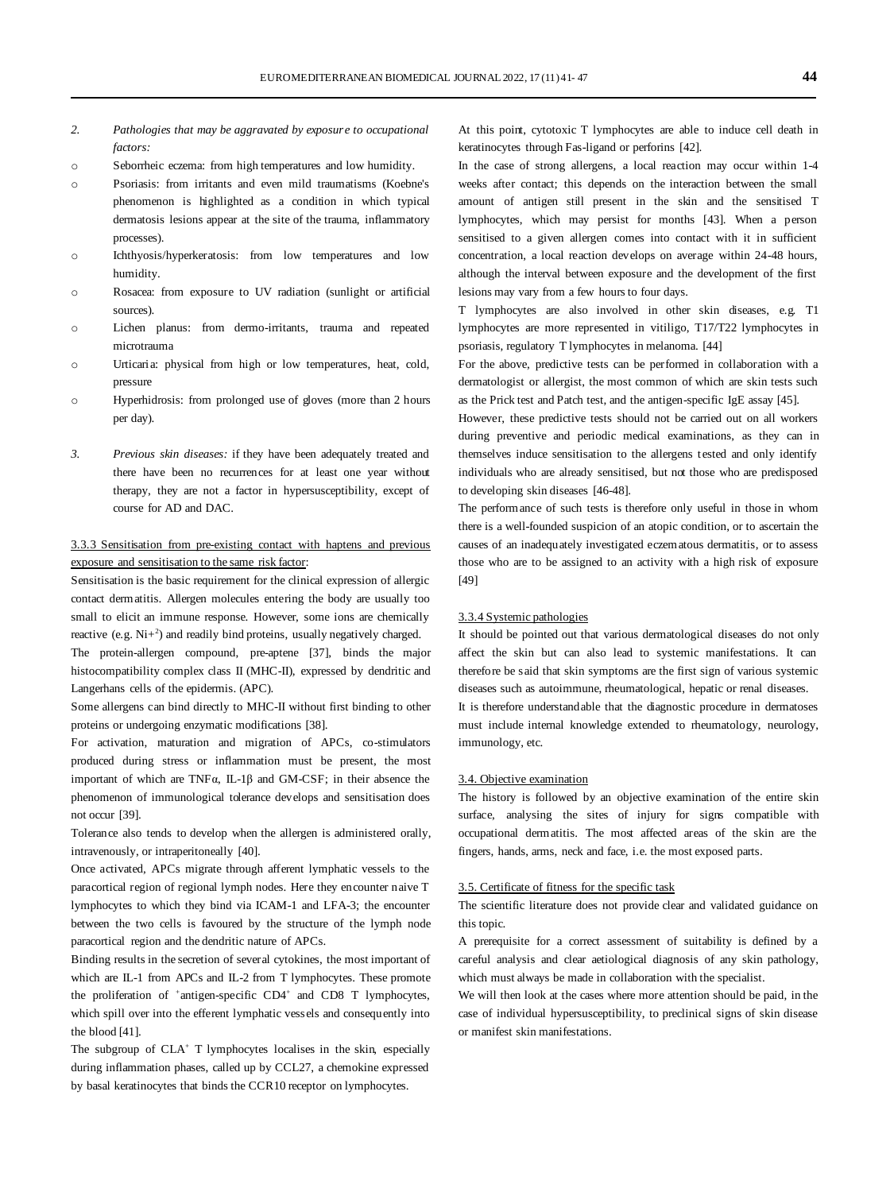- *2. Pathologies that may be aggravated by exposure to occupational factors:*
- o Seborrheic eczema: from high temperatures and low humidity.
- o Psoriasis: from irritants and even mild traumatisms (Koebne's phenomenon is highlighted as a condition in which typical dermatosis lesions appear at the site of the trauma, inflammatory processes).
- o Ichthyosis/hyperkeratosis: from low temperatures and low humidity.
- o Rosacea: from exposure to UV radiation (sunlight or artificial sources).
- o Lichen planus: from dermo-irritants, trauma and repeated microtrauma
- o Urticaria: physical from high or low temperatures, heat, cold, pressure
- o Hyperhidrosis: from prolonged use of gloves (more than 2 hours per day).
- *3. Previous skin diseases:* if they have been adequately treated and there have been no recurrences for at least one year without therapy, they are not a factor in hypersusceptibility, except of course for AD and DAC.

# 3.3.3 Sensitisation from pre-existing contact with haptens and previous exposure and sensitisation to the same risk factor:

Sensitisation is the basic requirement for the clinical expression of allergic contact dermatitis. Allergen molecules entering the body are usually too small to elicit an immune response. However, some ions are chemically reactive (e.g.  $Ni+^2$ ) and readily bind proteins, usually negatively charged.

The protein-allergen compound, pre-aptene [37], binds the major histocompatibility complex class II (MHC-II), expressed by dendritic and Langerhans cells of the epidermis. (APC).

Some allergens can bind directly to MHC-II without first binding to other proteins or undergoing enzymatic modifications [38].

For activation, maturation and migration of APCs, co-stimulators produced during stress or inflammation must be present, the most important of which are TNFα, IL-1β and GM-CSF; in their absence the phenomenon of immunological tolerance develops and sensitisation does not occur [39].

Tolerance also tends to develop when the allergen is administered orally, intravenously, or intraperitoneally [40].

Once activated, APCs migrate through afferent lymphatic vessels to the paracortical region of regional lymph nodes. Here they encounter naive T lymphocytes to which they bind via ICAM-1 and LFA-3; the encounter between the two cells is favoured by the structure of the lymph node paracortical region and the dendritic nature of APCs.

Binding results in the secretion of several cytokines, the most important of which are IL-1 from APCs and IL-2 from T lymphocytes. These promote the proliferation of  $^+$ antigen-specific CD4<sup>+</sup> and CD8 T lymphocytes, which spill over into the efferent lymphatic vessels and consequently into the blood [41].

The subgroup of CLA<sup>+</sup> T lymphocytes localises in the skin, especially during inflammation phases, called up by CCL27, a chemokine expressed by basal keratinocytes that binds the CCR10 receptor on lymphocytes.

At this point, cytotoxic T lymphocytes are able to induce cell death in keratinocytes through Fas-ligand or perforins [42].

In the case of strong allergens, a local reaction may occur within 1-4 weeks after contact; this depends on the interaction between the small amount of antigen still present in the skin and the sensitised T lymphocytes, which may persist for months [43]. When a person sensitised to a given allergen comes into contact with it in sufficient concentration, a local reaction develops on average within 24-48 hours, although the interval between exposure and the development of the first lesions may vary from a few hours to four days.

T lymphocytes are also involved in other skin diseases, e.g. T1 lymphocytes are more represented in vitiligo, T17/T22 lymphocytes in psoriasis, regulatory T lymphocytes in melanoma. [44]

For the above, predictive tests can be performed in collaboration with a dermatologist or allergist, the most common of which are skin tests such as the Prick test and Patch test, and the antigen-specific IgE assay [45].

However, these predictive tests should not be carried out on all workers during preventive and periodic medical examinations, as they can in themselves induce sensitisation to the allergens tested and only identify individuals who are already sensitised, but not those who are predisposed to developing skin diseases [46-48].

The performance of such tests is therefore only useful in those in whom there is a well-founded suspicion of an atopic condition, or to ascertain the causes of an inadequately investigated eczematous dermatitis, or to assess those who are to be assigned to an activity with a high risk of exposure [49]

# 3.3.4 Systemic pathologies

It should be pointed out that various dermatological diseases do not only affect the skin but can also lead to systemic manifestations. It can therefore be said that skin symptoms are the first sign of various systemic diseases such as autoimmune, rheumatological, hepatic or renal diseases. It is therefore understandable that the diagnostic procedure in dermatoses must include internal knowledge extended to rheumatology, neurology, immunology, etc.

#### 3.4. Objective examination

The history is followed by an objective examination of the entire skin surface, analysing the sites of injury for signs compatible with occupational dermatitis. The most affected areas of the skin are the fingers, hands, arms, neck and face, i.e. the most exposed parts.

### 3.5. Certificate of fitness for the specific task

The scientific literature does not provide clear and validated guidance on this topic.

A prerequisite for a correct assessment of suitability is defined by a careful analysis and clear aetiological diagnosis of any skin pathology, which must always be made in collaboration with the specialist.

We will then look at the cases where more attention should be paid, in the case of individual hypersusceptibility, to preclinical signs of skin disease or manifest skin manifestations.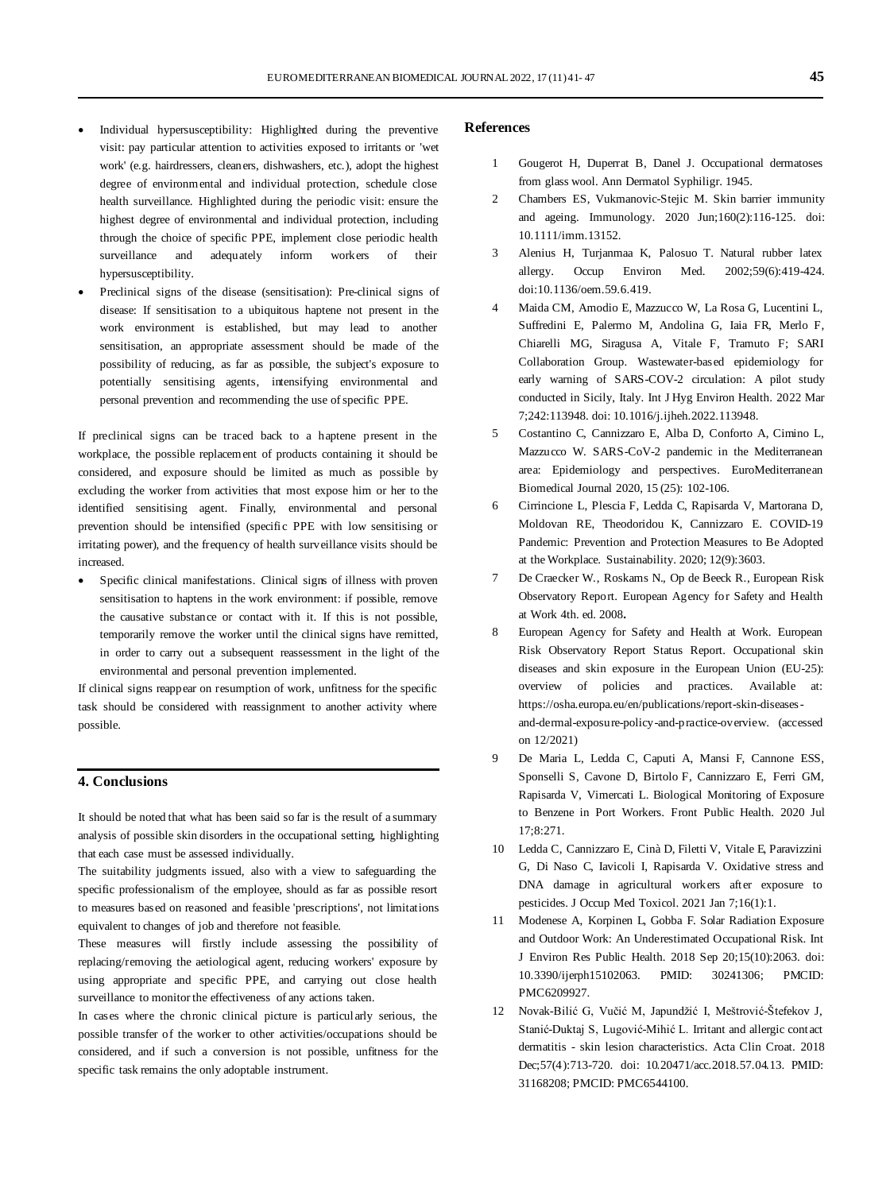- Individual hypersusceptibility: Highlighted during the preventive visit: pay particular attention to activities exposed to irritants or 'wet work' (e.g. hairdressers, cleaners, dishwashers, etc.), adopt the highest degree of environmental and individual protection, schedule close health surveillance. Highlighted during the periodic visit: ensure the highest degree of environmental and individual protection, including through the choice of specific PPE, implement close periodic health surveillance and adequately inform workers of their hypersusceptibility.
- Preclinical signs of the disease (sensitisation): Pre-clinical signs of disease: If sensitisation to a ubiquitous haptene not present in the work environment is established, but may lead to another sensitisation, an appropriate assessment should be made of the possibility of reducing, as far as possible, the subject's exposure to potentially sensitising agents, intensifying environmental and personal prevention and recommending the use of specific PPE.

If preclinical signs can be traced back to a haptene present in the workplace, the possible replacement of products containing it should be considered, and exposure should be limited as much as possible by excluding the worker from activities that most expose him or her to the identified sensitising agent. Finally, environmental and personal prevention should be intensified (specific PPE with low sensitising or irritating power), and the frequency of health surveillance visits should be increased.

Specific clinical manifestations. Clinical signs of illness with proven sensitisation to haptens in the work environment: if possible, remove the causative substance or contact with it. If this is not possible, temporarily remove the worker until the clinical signs have remitted, in order to carry out a subsequent reassessment in the light of the environmental and personal prevention implemented.

If clinical signs reappear on resumption of work, unfitness for the specific task should be considered with reassignment to another activity where possible.

#### **4. Conclusions**

It should be noted that what has been said so far is the result of a summary analysis of possible skin disorders in the occupational setting, highlighting that each case must be assessed individually.

The suitability judgments issued, also with a view to safeguarding the specific professionalism of the employee, should as far as possible resort to measures based on reasoned and feasible 'prescriptions', not limitations equivalent to changes of job and therefore not feasible.

These measures will firstly include assessing the possibility of replacing/removing the aetiological agent, reducing workers' exposure by using appropriate and specific PPE, and carrying out close health surveillance to monitor the effectiveness of any actions taken.

In cases where the chronic clinical picture is particularly serious, the possible transfer of the worker to other activities/occupations should be considered, and if such a conversion is not possible, unfitness for the specific task remains the only adoptable instrument.

# **References**

- 1 Gougerot H, Duperrat B, Danel J. Occupational dermatoses from glass wool. Ann Dermatol Syphiligr. 1945.
- 2 Chambers ES, Vukmanovic-Stejic M. Skin barrier immunity and ageing. Immunology. 2020 Jun;160(2):116-125. doi: 10.1111/imm.13152.
- 3 Alenius H, Turjanmaa K, Palosuo T. Natural rubber latex allergy. Occup Environ Med. 2002;59(6):419-424. doi:10.1136/oem.59.6.419.
- 4 Maida CM, Amodio E, Mazzucco W, La Rosa G, Lucentini L, Suffredini E, Palermo M, Andolina G, Iaia FR, Merlo F, Chiarelli MG, Siragusa A, Vitale F, Tramuto F; SARI Collaboration Group. Wastewater-based epidemiology for early warning of SARS-COV-2 circulation: A pilot study conducted in Sicily, Italy. Int J Hyg Environ Health. 2022 Mar 7;242:113948. doi: 10.1016/j.ijheh.2022.113948.
- 5 Costantino C, Cannizzaro E, Alba D, Conforto A, Cimino L, Mazzucco W. SARS-CoV-2 pandemic in the Mediterranean area: Epidemiology and perspectives. EuroMediterranean Biomedical Journal 2020, 15 (25): 102-106.
- 6 Cirrincione L, Plescia F, Ledda C, Rapisarda V, Martorana D, Moldovan RE, Theodoridou K, Cannizzaro E. COVID-19 Pandemic: Prevention and Protection Measures to Be Adopted at the Workplace. Sustainability. 2020; 12(9):3603.
- 7 De Craecker W., Roskams N., Op de Beeck R., European Risk Observatory Report. European Agency for Safety and Health at Work 4th. ed. 2008**.**
- 8 European Agency for Safety and Health at Work. European Risk Observatory Report Status Report. Occupational skin diseases and skin exposure in the European Union (EU-25): overview of policies and practices. Available at: [https:/](https://osha.europa.eu/en/publications/report-skin-diseases-and-dermal-exposure-policy-and-practice-overview)/osha.europa.eu/en/publications/report-skin-diseasesand-dermal-exposure-policy-and-practice-overview. (accessed on 12/2021)
- 9 De Maria L, Ledda C, Caputi A, Mansi F, Cannone ESS, Sponselli S, Cavone D, Birtolo F, Cannizzaro E, Ferri GM, Rapisarda V, Vimercati L. Biological Monitoring of Exposure to Benzene in Port Workers. Front Public Health. 2020 Jul  $17:8:271$ .
- 10 Ledda C, Cannizzaro E, Cinà D, Filetti V, Vitale E, Paravizzini G, Di Naso C, Iavicoli I, Rapisarda V. Oxidative stress and DNA damage in agricultural workers after exposure to pesticides. J Occup Med Toxicol. 2021 Jan 7;16(1):1.
- 11 Modenese A, Korpinen L, Gobba F. Solar Radiation Exposure and Outdoor Work: An Underestimated Occupational Risk. Int J Environ Res Public Health. 2018 Sep 20;15(10):2063. doi: 10.3390/ijerph15102063. PMID: 30241306; PMCID: PMC6209927.
- 12 Novak-Bilić G, Vučić M, Japundžić I, Meštrović-Štefekov J, Stanić-Duktaj S, Lugović-Mihić L. Irritant and allergic contact dermatitis - skin lesion characteristics. Acta Clin Croat. 2018 Dec;57(4):713-720. doi: 10.20471/acc.2018.57.04.13. PMID: 31168208; PMCID: PMC6544100.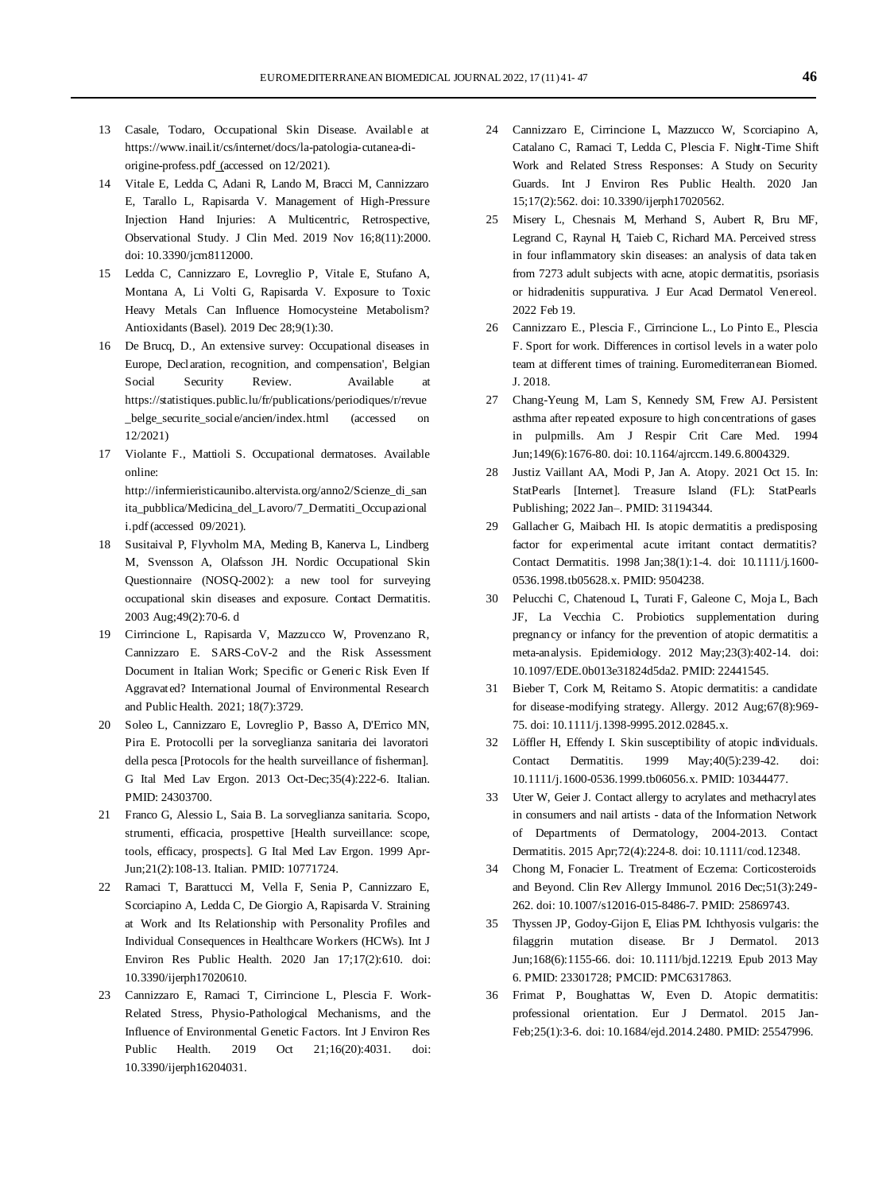- 13 Casale, Todaro, Occupational Skin Disease. Available at [https://www.inail.it/cs/internet/docs/la-patologia-cutanea-di](https://www.inail.it/cs/internet/docs/la-patologia-cutanea-di-origine-profess.pdf)[origine-profess.pdf](https://www.inail.it/cs/internet/docs/la-patologia-cutanea-di-origine-profess.pdf) (accessed on 12/2021).
- 14 Vitale E, Ledda C, Adani R, Lando M, Bracci M, Cannizzaro E, Tarallo L, Rapisarda V. Management of High-Pressure Injection Hand Injuries: A Multicentric, Retrospective, Observational Study. J Clin Med. 2019 Nov 16;8(11):2000. doi: 10.3390/jcm8112000.
- 15 Ledda C, Cannizzaro E, Lovreglio P, Vitale E, Stufano A, Montana A, Li Volti G, Rapisarda V. Exposure to Toxic Heavy Metals Can Influence Homocysteine Metabolism? Antioxidants (Basel). 2019 Dec 28;9(1):30.
- 16 De Brucq, D., An extensive survey: Occupational diseases in Europe, Declaration, recognition, and compensation', Belgian Social Security Review. Available at https://statistiques.public.lu/fr/publications/periodiques/r/revue belge\_securite\_sociale/ancien/index.html (accessed on 12/2021)
- 17 Violante F., Mattioli S. Occupational dermatoses. Available online: [http:/](http://infermieristicaunibo.altervista.org/anno2/Scienze_di_sanita_pubblica/Medicina_del_Lavoro/7_Dermatiti_Occupazionali.pdf)/infermieristicaunibo.altervista.org/anno2/Scienze\_di\_san ita\_pubblica/Medicina\_del\_Lavoro/7\_Dermatiti\_Occupazional i.pdf (accessed 09/2021).
- 18 Susitaival P, Flyvholm MA, Meding B, Kanerva L, Lindberg M, Svensson A, Olafsson JH. Nordic Occupational Skin Questionnaire (NOSQ-2002): a new tool for surveying occupational skin diseases and exposure. Contact Dermatitis. 2003 Aug;49(2):70-6. d
- 19 Cirrincione L, Rapisarda V, Mazzucco W, Provenzano R, Cannizzaro E. SARS-CoV-2 and the Risk Assessment Document in Italian Work; Specific or Generic Risk Even If Aggravated? International Journal of Environmental Research and Public Health. 2021; 18(7):3729.
- 20 Soleo L, Cannizzaro E, Lovreglio P, Basso A, D'Errico MN, Pira E. Protocolli per la sorveglianza sanitaria dei lavoratori della pesca [Protocols for the health surveillance of fisherman]. G Ital Med Lav Ergon. 2013 Oct-Dec;35(4):222-6. Italian. PMID: 24303700.
- 21 Franco G, Alessio L, Saia B. La sorveglianza sanitaria. Scopo, strumenti, efficacia, prospettive [Health surveillance: scope, tools, efficacy, prospects]. G Ital Med Lav Ergon. 1999 Apr-Jun;21(2):108-13. Italian. PMID: 10771724.
- 22 Ramaci T, Barattucci M, Vella F, Senia P, Cannizzaro E, Scorciapino A, Ledda C, De Giorgio A, Rapisarda V. Straining at Work and Its Relationship with Personality Profiles and Individual Consequences in Healthcare Workers (HCWs). Int J Environ Res Public Health. 2020 Jan 17;17(2):610. doi: 10.3390/ijerph17020610.
- 23 Cannizzaro E, Ramaci T, Cirrincione L, Plescia F. Work-Related Stress, Physio-Pathological Mechanisms, and the Influence of Environmental Genetic Factors. Int J Environ Res Public Health. 2019 Oct 21;16(20):4031. doi: 10.3390/ijerph16204031.
- 24 Cannizzaro E, Cirrincione L, Mazzucco W, Scorciapino A, Catalano C, Ramaci T, Ledda C, Plescia F. Night-Time Shift Work and Related Stress Responses: A Study on Security Guards. Int J Environ Res Public Health. 2020 Jan 15;17(2):562. doi: 10.3390/ijerph17020562.
- 25 Misery L, Chesnais M, Merhand S, Aubert R, Bru MF, Legrand C, Raynal H, Taieb C, Richard MA. Perceived stress in four inflammatory skin diseases: an analysis of data taken from 7273 adult subjects with acne, atopic dermatitis, psoriasis or hidradenitis suppurativa. J Eur Acad Dermatol Venereol. 2022 Feb 19.
- 26 Cannizzaro E., Plescia F., Cirrincione L., Lo Pinto E., Plescia F. Sport for work. Differences in cortisol levels in a water polo team at different times of training. Euromediterranean Biomed. J. 2018.
- 27 Chang-Yeung M, Lam S, Kennedy SM, Frew AJ. Persistent asthma after repeated exposure to high concentrations of gases in pulpmills. Am J Respir Crit Care Med. 1994 Jun;149(6):1676-80. doi: 10.1164/ajrccm.149.6.8004329.
- 28 Justiz Vaillant AA, Modi P, Jan A. Atopy. 2021 Oct 15. In: StatPearls [Internet]. Treasure Island (FL): StatPearls Publishing; 2022 Jan–. PMID: 31194344.
- 29 Gallacher G, Maibach HI. Is atopic dermatitis a predisposing factor for experimental acute irritant contact dermatitis? Contact Dermatitis. 1998 Jan;38(1):1-4. doi: 10.1111/j.1600- 0536.1998.tb05628.x. PMID: 9504238.
- 30 Pelucchi C, Chatenoud L, Turati F, Galeone C, Moja L, Bach JF, La Vecchia C. Probiotics supplementation during pregnancy or infancy for the prevention of atopic dermatitis: a meta-analysis. Epidemiology. 2012 May;23(3):402-14. doi: 10.1097/EDE.0b013e31824d5da2. PMID: 22441545.
- 31 Bieber T, Cork M, Reitamo S. Atopic dermatitis: a candidate for disease-modifying strategy. Allergy. 2012 Aug;67(8):969- 75. doi: 10.1111/j.1398-9995.2012.02845.x.
- 32 Löffler H, Effendy I. Skin susceptibility of atopic individuals. Contact Dermatitis. 1999 May;40(5):239-42. doi: 10.1111/j.1600-0536.1999.tb06056.x. PMID: 10344477.
- 33 Uter W, Geier J. Contact allergy to acrylates and methacrylates in consumers and nail artists - data of the Information Network of Departments of Dermatology, 2004-2013. Contact Dermatitis. 2015 Apr;72(4):224-8. doi: 10.1111/cod.12348.
- 34 Chong M, Fonacier L. Treatment of Eczema: Corticosteroids and Beyond. Clin Rev Allergy Immunol. 2016 Dec;51(3):249-262. doi: 10.1007/s12016-015-8486-7. PMID: 25869743.
- 35 Thyssen JP, Godoy-Gijon E, Elias PM. Ichthyosis vulgaris: the filaggrin mutation disease. Br J Dermatol. 2013 Jun;168(6):1155-66. doi: 10.1111/bjd.12219. Epub 2013 May 6. PMID: 23301728; PMCID: PMC6317863.
- 36 Frimat P, Boughattas W, Even D. Atopic dermatitis: professional orientation. Eur J Dermatol. 2015 Jan-Feb;25(1):3-6. doi: 10.1684/ejd.2014.2480. PMID: 25547996.